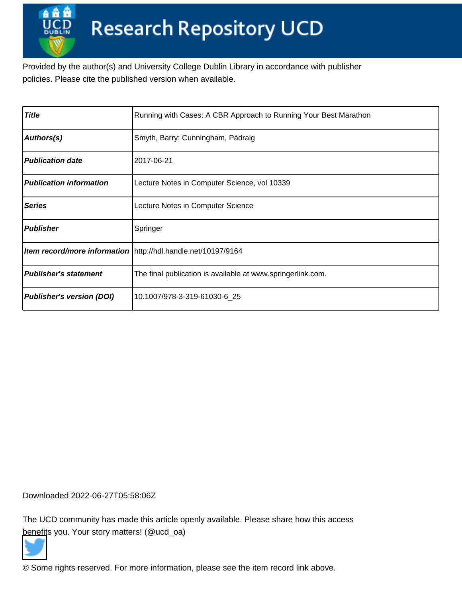Provided by the author(s) and University College Dublin Library in accordance with publisher policies. Please cite the published version when available.

| <b>Title</b>                     | Running with Cases: A CBR Approach to Running Your Best Marathon |
|----------------------------------|------------------------------------------------------------------|
| Authors(s)                       | Smyth, Barry; Cunningham, Pádraig                                |
| <b>Publication date</b>          | 2017-06-21                                                       |
| <b>Publication information</b>   | Lecture Notes in Computer Science, vol 10339                     |
| <b>Series</b>                    | Lecture Notes in Computer Science                                |
| <b>Publisher</b>                 | Springer                                                         |
|                                  | Item record/more information   http://hdl.handle.net/10197/9164  |
| <b>Publisher's statement</b>     | The final publication is available at www.springerlink.com.      |
| <b>Publisher's version (DOI)</b> | 10.1007/978-3-319-61030-6 25                                     |

Downloaded 2022-06-27T05:58:06Z

The UCD community has made this article openly available. Please share how this access [benefit](https://twitter.com/intent/tweet?via=ucd_oa&text=DOI%3A10.1007%2F978-3-319-61030-6_25&url=http%3A%2F%2Fhdl.handle.net%2F10197%2F9164)s you. Your story matters! (@ucd\_oa)



© Some rights reserved. For more information, please see the item record link above.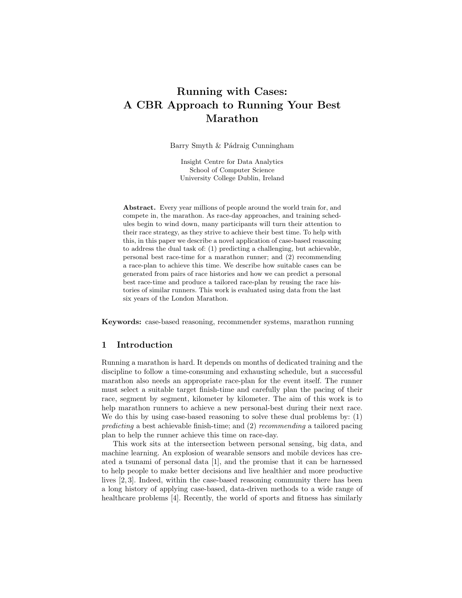# Running with Cases: A CBR Approach to Running Your Best Marathon

Barry Smyth & Pádraig Cunningham

Insight Centre for Data Analytics School of Computer Science University College Dublin, Ireland

Abstract. Every year millions of people around the world train for, and compete in, the marathon. As race-day approaches, and training schedules begin to wind down, many participants will turn their attention to their race strategy, as they strive to achieve their best time. To help with this, in this paper we describe a novel application of case-based reasoning to address the dual task of: (1) predicting a challenging, but achievable, personal best race-time for a marathon runner; and (2) recommending a race-plan to achieve this time. We describe how suitable cases can be generated from pairs of race histories and how we can predict a personal best race-time and produce a tailored race-plan by reusing the race histories of similar runners. This work is evaluated using data from the last six years of the London Marathon.

Keywords: case-based reasoning, recommender systems, marathon running

## 1 Introduction

Running a marathon is hard. It depends on months of dedicated training and the discipline to follow a time-consuming and exhausting schedule, but a successful marathon also needs an appropriate race-plan for the event itself. The runner must select a suitable target finish-time and carefully plan the pacing of their race, segment by segment, kilometer by kilometer. The aim of this work is to help marathon runners to achieve a new personal-best during their next race. We do this by using case-based reasoning to solve these dual problems by: (1) predicting a best achievable finish-time; and (2) recommending a tailored pacing plan to help the runner achieve this time on race-day.

This work sits at the intersection between personal sensing, big data, and machine learning. An explosion of wearable sensors and mobile devices has created a tsunami of personal data [1], and the promise that it can be harnessed to help people to make better decisions and live healthier and more productive lives [2, 3]. Indeed, within the case-based reasoning community there has been a long history of applying case-based, data-driven methods to a wide range of healthcare problems [4]. Recently, the world of sports and fitness has similarly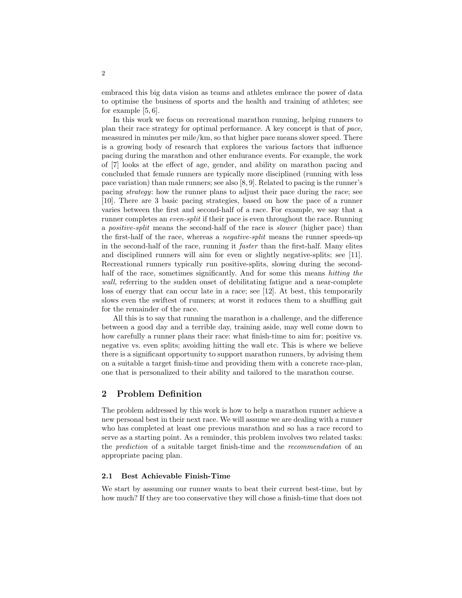embraced this big data vision as teams and athletes embrace the power of data to optimise the business of sports and the health and training of athletes; see for example [5, 6].

In this work we focus on recreational marathon running, helping runners to plan their race strategy for optimal performance. A key concept is that of pace, measured in minutes per mile/km, so that higher pace means slower speed. There is a growing body of research that explores the various factors that influence pacing during the marathon and other endurance events. For example, the work of [7] looks at the effect of age, gender, and ability on marathon pacing and concluded that female runners are typically more disciplined (running with less pace variation) than male runners; see also [8, 9]. Related to pacing is the runner's pacing strategy: how the runner plans to adjust their pace during the race; see [10]. There are 3 basic pacing strategies, based on how the pace of a runner varies between the first and second-half of a race. For example, we say that a runner completes an *even-split* if their pace is even throughout the race. Running a positive-split means the second-half of the race is slower (higher pace) than the first-half of the race, whereas a negative-split means the runner speeds-up in the second-half of the race, running it faster than the first-half. Many elites and disciplined runners will aim for even or slightly negative-splits; see [11]. Recreational runners typically run positive-splits, slowing during the secondhalf of the race, sometimes significantly. And for some this means *hitting the* wall, referring to the sudden onset of debilitating fatigue and a near-complete loss of energy that can occur late in a race; see [12]. At best, this temporarily slows even the swiftest of runners; at worst it reduces them to a shuffling gait for the remainder of the race.

All this is to say that running the marathon is a challenge, and the difference between a good day and a terrible day, training aside, may well come down to how carefully a runner plans their race: what finish-time to aim for; positive vs. negative vs. even splits; avoiding hitting the wall etc. This is where we believe there is a significant opportunity to support marathon runners, by advising them on a suitable a target finish-time and providing them with a concrete race-plan, one that is personalized to their ability and tailored to the marathon course.

## 2 Problem Definition

The problem addressed by this work is how to help a marathon runner achieve a new personal best in their next race. We will assume we are dealing with a runner who has completed at least one previous marathon and so has a race record to serve as a starting point. As a reminder, this problem involves two related tasks: the prediction of a suitable target finish-time and the recommendation of an appropriate pacing plan.

#### 2.1 Best Achievable Finish-Time

We start by assuming our runner wants to beat their current best-time, but by how much? If they are too conservative they will chose a finish-time that does not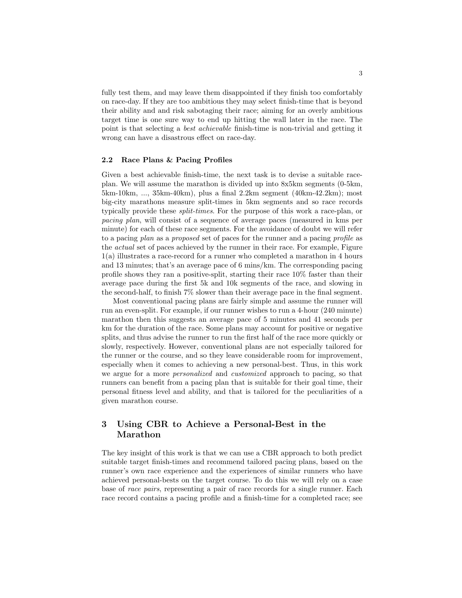fully test them, and may leave them disappointed if they finish too comfortably on race-day. If they are too ambitious they may select finish-time that is beyond their ability and and risk sabotaging their race; aiming for an overly ambitious target time is one sure way to end up hitting the wall later in the race. The point is that selecting a best achievable finish-time is non-trivial and getting it wrong can have a disastrous effect on race-day.

#### 2.2 Race Plans & Pacing Profiles

Given a best achievable finish-time, the next task is to devise a suitable raceplan. We will assume the marathon is divided up into 8x5km segments (0-5km, 5km-10km, ..., 35km-40km), plus a final 2.2km segment (40km-42.2km); most big-city marathons measure split-times in 5km segments and so race records typically provide these split-times. For the purpose of this work a race-plan, or pacing plan, will consist of a sequence of average paces (measured in kms per minute) for each of these race segments. For the avoidance of doubt we will refer to a pacing plan as a proposed set of paces for the runner and a pacing profile as the actual set of paces achieved by the runner in their race. For example, Figure 1(a) illustrates a race-record for a runner who completed a marathon in 4 hours and 13 minutes; that's an average pace of 6 mins/km. The corresponding pacing profile shows they ran a positive-split, starting their race 10% faster than their average pace during the first 5k and 10k segments of the race, and slowing in the second-half, to finish 7% slower than their average pace in the final segment.

Most conventional pacing plans are fairly simple and assume the runner will run an even-split. For example, if our runner wishes to run a 4-hour (240 minute) marathon then this suggests an average pace of 5 minutes and 41 seconds per km for the duration of the race. Some plans may account for positive or negative splits, and thus advise the runner to run the first half of the race more quickly or slowly, respectively. However, conventional plans are not especially tailored for the runner or the course, and so they leave considerable room for improvement, especially when it comes to achieving a new personal-best. Thus, in this work we argue for a more personalized and customized approach to pacing, so that runners can benefit from a pacing plan that is suitable for their goal time, their personal fitness level and ability, and that is tailored for the peculiarities of a given marathon course.

# 3 Using CBR to Achieve a Personal-Best in the Marathon

The key insight of this work is that we can use a CBR approach to both predict suitable target finish-times and recommend tailored pacing plans, based on the runner's own race experience and the experiences of similar runners who have achieved personal-bests on the target course. To do this we will rely on a case base of race pairs, representing a pair of race records for a single runner. Each race record contains a pacing profile and a finish-time for a completed race; see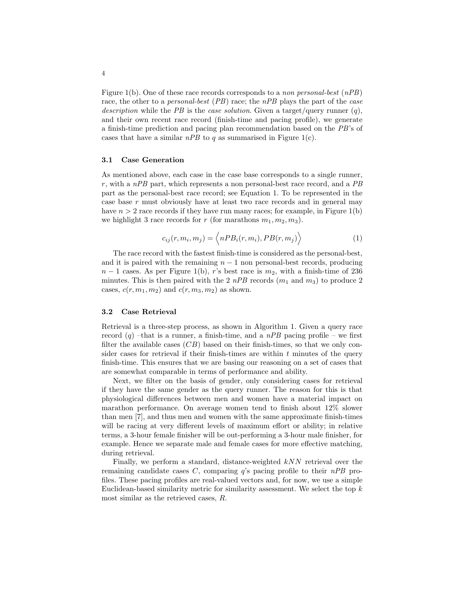Figure 1(b). One of these race records corresponds to a non personal-best  $(nPB)$ race, the other to a *personal-best* (PB) race; the nPB plays the part of the *case* description while the PB is the case solution. Given a target/query runner  $(q)$ , and their own recent race record (finish-time and pacing profile), we generate a finish-time prediction and pacing plan recommendation based on the PB's of cases that have a similar  $nPB$  to q as summarised in Figure 1(c).

#### 3.1 Case Generation

As mentioned above, each case in the case base corresponds to a single runner,  $r$ , with a  $nPB$  part, which represents a non personal-best race record, and a  $PB$ part as the personal-best race record; see Equation 1. To be represented in the case base  $r$  must obviously have at least two race records and in general may have  $n > 2$  race records if they have run many races; for example, in Figure 1(b) we highlight 3 race records for r (for marathons  $m_1, m_2, m_3$ ).

$$
c_{ij}(r, m_i, m_j) = \langle nPB_i(r, m_i), PB(r, m_j) \rangle \tag{1}
$$

The race record with the fastest finish-time is considered as the personal-best, and it is paired with the remaining  $n - 1$  non personal-best records, producing  $n-1$  cases. As per Figure 1(b), r's best race is  $m_2$ , with a finish-time of 236 minutes. This is then paired with the 2  $nPB$  records  $(m_1 \text{ and } m_3)$  to produce 2 cases,  $c(r, m_1, m_2)$  and  $c(r, m_3, m_2)$  as shown.

#### 3.2 Case Retrieval

Retrieval is a three-step process, as shown in Algorithm 1. Given a query race record  $(q)$  –that is a runner, a finish-time, and a nPB pacing profile – we first filter the available cases  $(CB)$  based on their finish-times, so that we only consider cases for retrieval if their finish-times are within  $t$  minutes of the query finish-time. This ensures that we are basing our reasoning on a set of cases that are somewhat comparable in terms of performance and ability.

Next, we filter on the basis of gender, only considering cases for retrieval if they have the same gender as the query runner. The reason for this is that physiological differences between men and women have a material impact on marathon performance. On average women tend to finish about 12% slower than men [7], and thus men and women with the same approximate finish-times will be racing at very different levels of maximum effort or ability; in relative terms, a 3-hour female finisher will be out-performing a 3-hour male finisher, for example. Hence we separate male and female cases for more effective matching, during retrieval.

Finally, we perform a standard, distance-weighted kNN retrieval over the remaining candidate cases  $C$ , comparing  $q$ 's pacing profile to their  $nPB$  profiles. These pacing profiles are real-valued vectors and, for now, we use a simple Euclidean-based similarity metric for similarity assessment. We select the top  $k$ most similar as the retrieved cases, R.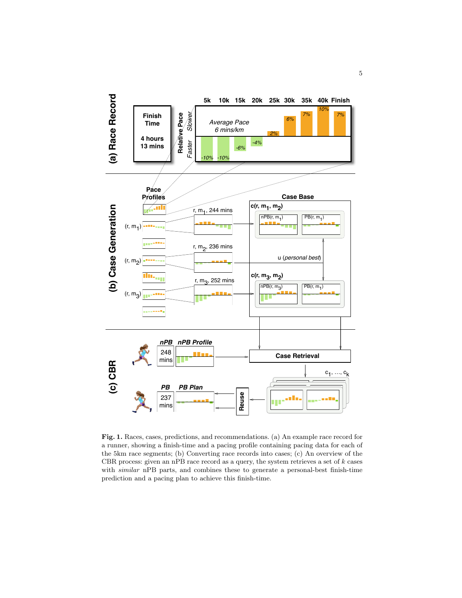

Fig. 1. Races, cases, predictions, and recommendations. (a) An example race record for a runner, showing a finish-time and a pacing profile containing pacing data for each of the 5km race segments; (b) Converting race records into cases; (c) An overview of the CBR process: given an nPB race record as a query, the system retrieves a set of  $k$  cases with similar nPB parts, and combines these to generate a personal-best finish-time prediction and a pacing plan to achieve this finish-time.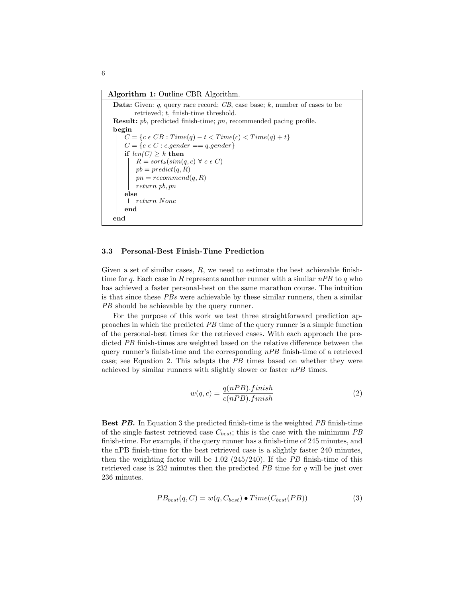Algorithm 1: Outline CBR Algorithm.

```
Data: Given: q, query race record; CB, case base; k, number of cases to be
       retrieved; t, finish-time threshold.
Result: pb, predicted finish-time; pn, recommended pacing profile.
begin
    C = \{c \in CB : Time(q) - t < Time(c) < Time(q) + t\}C = \{c \in C : c \text{.gender} == q \text{.gender}\}if len(C) \geq k then
        R = sort_k(sin(q, c) \forall c \in C)pb = predict(q, R)pn = recommend(q, R)return pb, pn
    else
     return None
    end
end
```
#### 3.3 Personal-Best Finish-Time Prediction

Given a set of similar cases,  $R$ , we need to estimate the best achievable finishtime for q. Each case in R represents another runner with a similar  $nPB$  to q who has achieved a faster personal-best on the same marathon course. The intuition is that since these PBs were achievable by these similar runners, then a similar PB should be achievable by the query runner.

For the purpose of this work we test three straightforward prediction approaches in which the predicted PB time of the query runner is a simple function of the personal-best times for the retrieved cases. With each approach the predicted PB finish-times are weighted based on the relative difference between the query runner's finish-time and the corresponding  $nPB$  finish-time of a retrieved case; see Equation 2. This adapts the PB times based on whether they were achieved by similar runners with slightly slower or faster  $nPB$  times.

$$
w(q,c) = \frac{q(nPB).finish}{c(nPB).finish}
$$
 (2)

Best PB. In Equation 3 the predicted finish-time is the weighted PB finish-time of the single fastest retrieved case  $C_{best}$ ; this is the case with the minimum PB finish-time. For example, if the query runner has a finish-time of 245 minutes, and the nPB finish-time for the best retrieved case is a slightly faster 240 minutes, then the weighting factor will be 1.02 (245/240). If the PB finish-time of this retrieved case is 232 minutes then the predicted PB time for q will be just over 236 minutes.

$$
PB_{best}(q, C) = w(q, C_{best}) \bullet Time(C_{best}(PB))
$$
\n(3)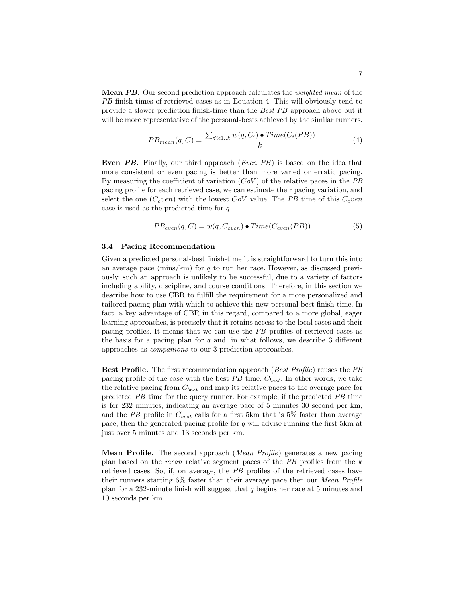**Mean PB.** Our second prediction approach calculates the *weighted mean* of the PB finish-times of retrieved cases as in Equation 4. This will obviously tend to provide a slower prediction finish-time than the Best PB approach above but it will be more representative of the personal-bests achieved by the similar runners.

$$
PB_{mean}(q, C) = \frac{\sum_{\forall i \in 1..k} w(q, C_i) \bullet Time(C_i(PB))}{k}
$$
(4)

Even PB. Finally, our third approach (Even PB) is based on the idea that more consistent or even pacing is better than more varied or erratic pacing. By measuring the coefficient of variation  $(CoV)$  of the relative paces in the PB pacing profile for each retrieved case, we can estimate their pacing variation, and select the one  $(C_even)$  with the lowest  $CoV$  value. The PB time of this  $C_even$ case is used as the predicted time for q.

$$
PB_{even}(q, C) = w(q, C_{even}) \bullet Time(C_{even}(PB))
$$
\n
$$
(5)
$$

#### 3.4 Pacing Recommendation

Given a predicted personal-best finish-time it is straightforward to turn this into an average pace (mins/km) for q to run her race. However, as discussed previously, such an approach is unlikely to be successful, due to a variety of factors including ability, discipline, and course conditions. Therefore, in this section we describe how to use CBR to fulfill the requirement for a more personalized and tailored pacing plan with which to achieve this new personal-best finish-time. In fact, a key advantage of CBR in this regard, compared to a more global, eager learning approaches, is precisely that it retains access to the local cases and their pacing profiles. It means that we can use the PB profiles of retrieved cases as the basis for a pacing plan for  $q$  and, in what follows, we describe 3 different approaches as companions to our 3 prediction approaches.

Best Profile. The first recommendation approach (Best Profile) reuses the PB pacing profile of the case with the best  $PB$  time,  $C_{best}$ . In other words, we take the relative pacing from  $C_{best}$  and map its relative paces to the average pace for predicted PB time for the query runner. For example, if the predicted PB time is for 232 minutes, indicating an average pace of 5 minutes 30 second per km, and the PB profile in  $C_{best}$  calls for a first 5km that is 5% faster than average pace, then the generated pacing profile for q will advise running the first 5km at just over 5 minutes and 13 seconds per km.

Mean Profile. The second approach (Mean Profile) generates a new pacing plan based on the mean relative segment paces of the PB profiles from the k retrieved cases. So, if, on average, the PB profiles of the retrieved cases have their runners starting 6% faster than their average pace then our Mean Profile plan for a 232-minute finish will suggest that  $q$  begins her race at 5 minutes and 10 seconds per km.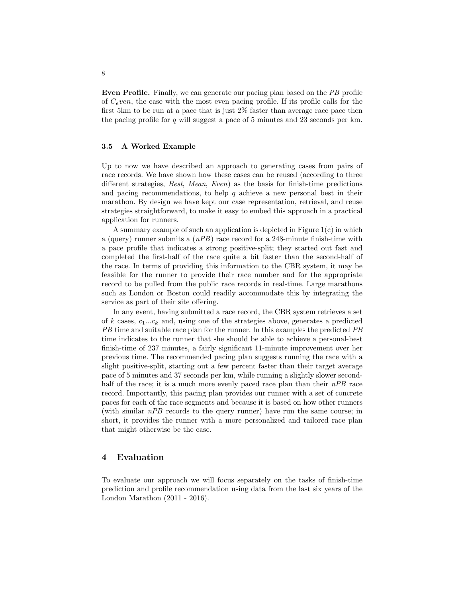Even Profile. Finally, we can generate our pacing plan based on the PB profile of  $C<sub>e</sub>ven$ , the case with the most even pacing profile. If its profile calls for the first 5km to be run at a pace that is just 2% faster than average race pace then the pacing profile for  $q$  will suggest a pace of 5 minutes and 23 seconds per km.

#### 3.5 A Worked Example

Up to now we have described an approach to generating cases from pairs of race records. We have shown how these cases can be reused (according to three different strategies, *Best, Mean, Even*) as the basis for finish-time predictions and pacing recommendations, to help  $q$  achieve a new personal best in their marathon. By design we have kept our case representation, retrieval, and reuse strategies straightforward, to make it easy to embed this approach in a practical application for runners.

A summary example of such an application is depicted in Figure  $1(c)$  in which a (query) runner submits a  $(nPB)$  race record for a 248-minute finish-time with a pace profile that indicates a strong positive-split; they started out fast and completed the first-half of the race quite a bit faster than the second-half of the race. In terms of providing this information to the CBR system, it may be feasible for the runner to provide their race number and for the appropriate record to be pulled from the public race records in real-time. Large marathons such as London or Boston could readily accommodate this by integrating the service as part of their site offering.

In any event, having submitted a race record, the CBR system retrieves a set of k cases,  $c_1...c_k$  and, using one of the strategies above, generates a predicted PB time and suitable race plan for the runner. In this examples the predicted PB time indicates to the runner that she should be able to achieve a personal-best finish-time of 237 minutes, a fairly significant 11-minute improvement over her previous time. The recommended pacing plan suggests running the race with a slight positive-split, starting out a few percent faster than their target average pace of 5 minutes and 37 seconds per km, while running a slightly slower secondhalf of the race; it is a much more evenly paced race plan than their nPB race record. Importantly, this pacing plan provides our runner with a set of concrete paces for each of the race segments and because it is based on how other runners (with similar nPB records to the query runner) have run the same course; in short, it provides the runner with a more personalized and tailored race plan that might otherwise be the case.

## 4 Evaluation

To evaluate our approach we will focus separately on the tasks of finish-time prediction and profile recommendation using data from the last six years of the London Marathon (2011 - 2016).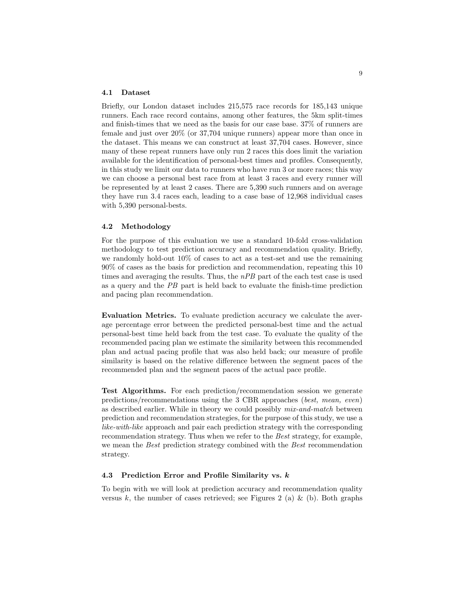#### 4.1 Dataset

Briefly, our London dataset includes 215,575 race records for 185,143 unique runners. Each race record contains, among other features, the 5km split-times and finish-times that we need as the basis for our case base. 37% of runners are female and just over 20% (or 37,704 unique runners) appear more than once in the dataset. This means we can construct at least 37,704 cases. However, since many of these repeat runners have only run 2 races this does limit the variation available for the identification of personal-best times and profiles. Consequently, in this study we limit our data to runners who have run 3 or more races; this way we can choose a personal best race from at least 3 races and every runner will be represented by at least 2 cases. There are 5,390 such runners and on average they have run 3.4 races each, leading to a case base of 12,968 individual cases with 5,390 personal-bests.

#### 4.2 Methodology

For the purpose of this evaluation we use a standard 10-fold cross-validation methodology to test prediction accuracy and recommendation quality. Briefly, we randomly hold-out 10% of cases to act as a test-set and use the remaining 90% of cases as the basis for prediction and recommendation, repeating this 10 times and averaging the results. Thus, the nPB part of the each test case is used as a query and the PB part is held back to evaluate the finish-time prediction and pacing plan recommendation.

Evaluation Metrics. To evaluate prediction accuracy we calculate the average percentage error between the predicted personal-best time and the actual personal-best time held back from the test case. To evaluate the quality of the recommended pacing plan we estimate the similarity between this recommended plan and actual pacing profile that was also held back; our measure of profile similarity is based on the relative difference between the segment paces of the recommended plan and the segment paces of the actual pace profile.

Test Algorithms. For each prediction/recommendation session we generate predictions/recommendations using the 3 CBR approaches (best, mean, even) as described earlier. While in theory we could possibly mix-and-match between prediction and recommendation strategies, for the purpose of this study, we use a like-with-like approach and pair each prediction strategy with the corresponding recommendation strategy. Thus when we refer to the Best strategy, for example, we mean the *Best* prediction strategy combined with the *Best* recommendation strategy.

#### 4.3 Prediction Error and Profile Similarity vs. k

To begin with we will look at prediction accuracy and recommendation quality versus k, the number of cases retrieved; see Figures 2 (a) & (b). Both graphs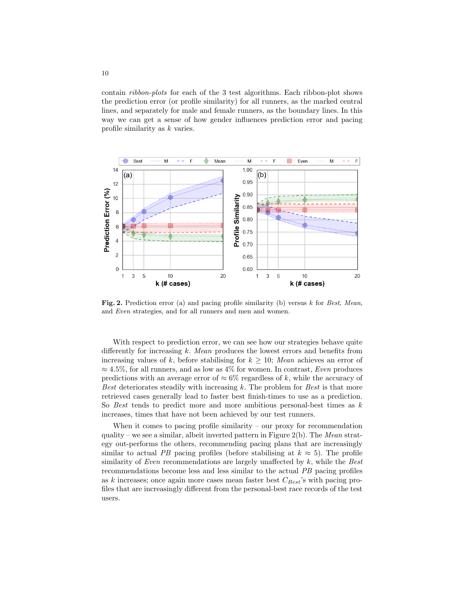contain ribbon-plots for each of the 3 test algorithms. Each ribbon-plot shows the prediction error (or profile similarity) for all runners, as the marked central lines, and separately for male and female runners, as the boundary lines. In this way we can get a sense of how gender influences prediction error and pacing profile similarity as k varies.



Fig. 2. Prediction error (a) and pacing profile similarity (b) versus  $k$  for Best, Mean, and Even strategies, and for all runners and men and women.

With respect to prediction error, we can see how our strategies behave quite differently for increasing k. Mean produces the lowest errors and benefits from increasing values of k, before stabilising for  $k \geq 10$ ; Mean achieves an error of  $\approx 4.5\%$ , for all runners, and as low as 4% for women. In contrast, Even produces predictions with an average error of  $\approx 6\%$  regardless of k, while the accuracy of Best deteriorates steadily with increasing  $k$ . The problem for Best is that more retrieved cases generally lead to faster best finish-times to use as a prediction. So Best tends to predict more and more ambitious personal-best times as  $k$ increases, times that have not been achieved by our test runners.

When it comes to pacing profile similarity – our proxy for recommendation quality – we see a similar, albeit inverted pattern in Figure 2(b). The Mean strategy out-performs the others, recommending pacing plans that are increasingly similar to actual PB pacing profiles (before stabilising at  $k \approx 5$ ). The profile similarity of Even recommendations are largely unaffected by  $k$ , while the Best recommendations become less and less similar to the actual PB pacing profiles as k increases; once again more cases mean faster best  $C_{Best}$ 's with pacing profiles that are increasingly different from the personal-best race records of the test users.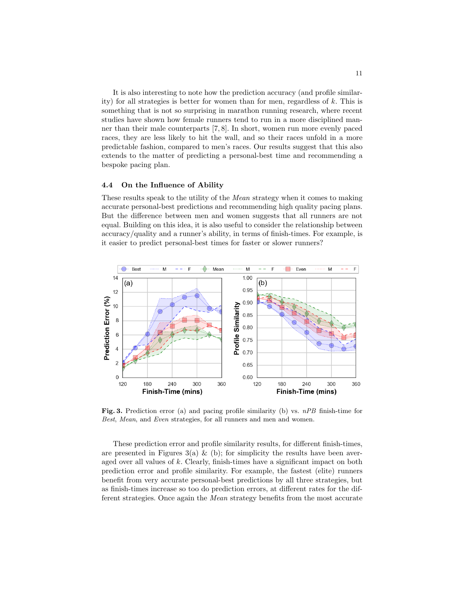It is also interesting to note how the prediction accuracy (and profile similarity) for all strategies is better for women than for men, regardless of k. This is something that is not so surprising in marathon running research, where recent studies have shown how female runners tend to run in a more disciplined manner than their male counterparts [7, 8]. In short, women run more evenly paced races, they are less likely to hit the wall, and so their races unfold in a more predictable fashion, compared to men's races. Our results suggest that this also extends to the matter of predicting a personal-best time and recommending a bespoke pacing plan.

#### 4.4 On the Influence of Ability

These results speak to the utility of the Mean strategy when it comes to making accurate personal-best predictions and recommending high quality pacing plans. But the difference between men and women suggests that all runners are not equal. Building on this idea, it is also useful to consider the relationship between accuracy/quality and a runner's ability, in terms of finish-times. For example, is it easier to predict personal-best times for faster or slower runners?



Fig. 3. Prediction error (a) and pacing profile similarity (b) vs.  $nPB$  finish-time for Best, Mean, and Even strategies, for all runners and men and women.

These prediction error and profile similarity results, for different finish-times, are presented in Figures 3(a)  $\&$  (b); for simplicity the results have been averaged over all values of  $k$ . Clearly, finish-times have a significant impact on both prediction error and profile similarity. For example, the fastest (elite) runners benefit from very accurate personal-best predictions by all three strategies, but as finish-times increase so too do prediction errors, at different rates for the different strategies. Once again the Mean strategy benefits from the most accurate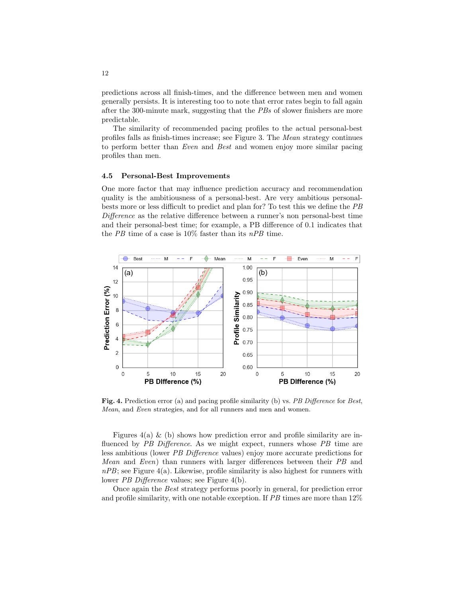predictions across all finish-times, and the difference between men and women generally persists. It is interesting too to note that error rates begin to fall again after the 300-minute mark, suggesting that the PBs of slower finishers are more predictable.

The similarity of recommended pacing profiles to the actual personal-best profiles falls as finish-times increase; see Figure 3. The Mean strategy continues to perform better than Even and Best and women enjoy more similar pacing profiles than men.

#### 4.5 Personal-Best Improvements

One more factor that may influence prediction accuracy and recommendation quality is the ambitiousness of a personal-best. Are very ambitious personalbests more or less difficult to predict and plan for? To test this we define the PB Difference as the relative difference between a runner's non personal-best time and their personal-best time; for example, a PB difference of 0.1 indicates that the PB time of a case is  $10\%$  faster than its  $nPB$  time.



Fig. 4. Prediction error (a) and pacing profile similarity (b) vs. PB Difference for Best, Mean, and Even strategies, and for all runners and men and women.

Figures  $4(a)$  & (b) shows how prediction error and profile similarity are influenced by PB Difference. As we might expect, runners whose PB time are less ambitious (lower PB Difference values) enjoy more accurate predictions for Mean and Even) than runners with larger differences between their PB and  $nPB$ ; see Figure 4(a). Likewise, profile similarity is also highest for runners with lower PB Difference values; see Figure 4(b).

Once again the Best strategy performs poorly in general, for prediction error and profile similarity, with one notable exception. If  $PB$  times are more than  $12\%$ 

12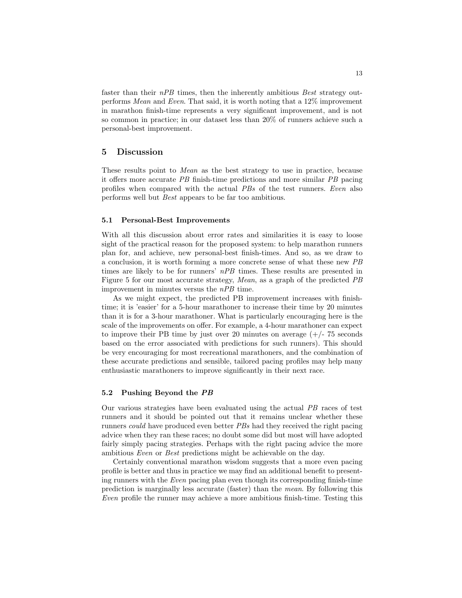faster than their nPB times, then the inherently ambitious Best strategy outperforms Mean and Even. That said, it is worth noting that a 12% improvement in marathon finish-time represents a very significant improvement, and is not so common in practice; in our dataset less than 20% of runners achieve such a personal-best improvement.

## 5 Discussion

These results point to Mean as the best strategy to use in practice, because it offers more accurate PB finish-time predictions and more similar PB pacing profiles when compared with the actual PBs of the test runners. Even also performs well but Best appears to be far too ambitious.

#### 5.1 Personal-Best Improvements

With all this discussion about error rates and similarities it is easy to loose sight of the practical reason for the proposed system: to help marathon runners plan for, and achieve, new personal-best finish-times. And so, as we draw to a conclusion, it is worth forming a more concrete sense of what these new PB times are likely to be for runners' nPB times. These results are presented in Figure 5 for our most accurate strategy, Mean, as a graph of the predicted PB improvement in minutes versus the nPB time.

As we might expect, the predicted PB improvement increases with finishtime; it is 'easier' for a 5-hour marathoner to increase their time by 20 minutes than it is for a 3-hour marathoner. What is particularly encouraging here is the scale of the improvements on offer. For example, a 4-hour marathoner can expect to improve their PB time by just over 20 minutes on average  $(+/- 75$  seconds based on the error associated with predictions for such runners). This should be very encouraging for most recreational marathoners, and the combination of these accurate predictions and sensible, tailored pacing profiles may help many enthusiastic marathoners to improve significantly in their next race.

#### 5.2 Pushing Beyond the PB

Our various strategies have been evaluated using the actual PB races of test runners and it should be pointed out that it remains unclear whether these runners could have produced even better PBs had they received the right pacing advice when they ran these races; no doubt some did but most will have adopted fairly simply pacing strategies. Perhaps with the right pacing advice the more ambitious Even or Best predictions might be achievable on the day.

Certainly conventional marathon wisdom suggests that a more even pacing profile is better and thus in practice we may find an additional benefit to presenting runners with the Even pacing plan even though its corresponding finish-time prediction is marginally less accurate (faster) than the mean. By following this Even profile the runner may achieve a more ambitious finish-time. Testing this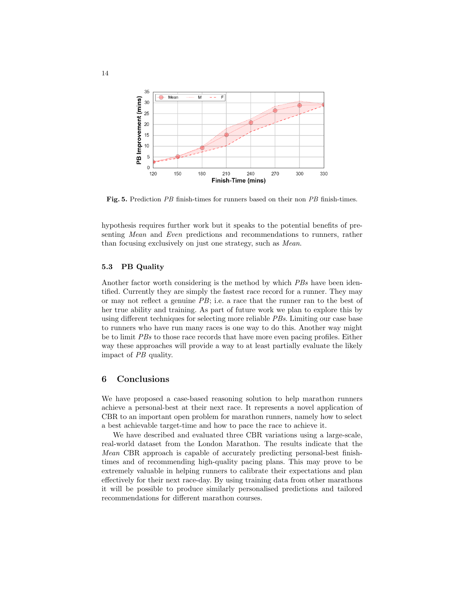

Fig. 5. Prediction PB finish-times for runners based on their non PB finish-times.

hypothesis requires further work but it speaks to the potential benefits of presenting Mean and Even predictions and recommendations to runners, rather than focusing exclusively on just one strategy, such as Mean.

### 5.3 PB Quality

Another factor worth considering is the method by which PBs have been identified. Currently they are simply the fastest race record for a runner. They may or may not reflect a genuine  $PB$ ; i.e. a race that the runner ran to the best of her true ability and training. As part of future work we plan to explore this by using different techniques for selecting more reliable PBs. Limiting our case base to runners who have run many races is one way to do this. Another way might be to limit PBs to those race records that have more even pacing profiles. Either way these approaches will provide a way to at least partially evaluate the likely impact of PB quality.

## 6 Conclusions

We have proposed a case-based reasoning solution to help marathon runners achieve a personal-best at their next race. It represents a novel application of CBR to an important open problem for marathon runners, namely how to select a best achievable target-time and how to pace the race to achieve it.

We have described and evaluated three CBR variations using a large-scale, real-world dataset from the London Marathon. The results indicate that the Mean CBR approach is capable of accurately predicting personal-best finishtimes and of recommending high-quality pacing plans. This may prove to be extremely valuable in helping runners to calibrate their expectations and plan effectively for their next race-day. By using training data from other marathons it will be possible to produce similarly personalised predictions and tailored recommendations for different marathon courses.